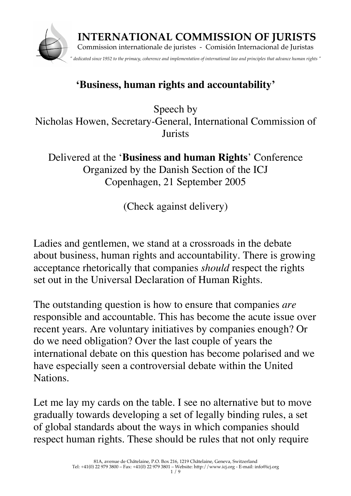

## **'Business, human rights and accountability'**

Speech by Nicholas Howen, Secretary-General, International Commission of *<u>Iurists</u>* 

Delivered at the '**Business and human Rights**' Conference Organized by the Danish Section of the ICJ Copenhagen, 21 September 2005

(Check against delivery)

Ladies and gentlemen, we stand at a crossroads in the debate about business, human rights and accountability. There is growing acceptance rhetorically that companies *should* respect the rights set out in the Universal Declaration of Human Rights.

The outstanding question is how to ensure that companies *are* responsible and accountable. This has become the acute issue over recent years. Are voluntary initiatives by companies enough? Or do we need obligation? Over the last couple of years the international debate on this question has become polarised and we have especially seen a controversial debate within the United Nations.

Let me lay my cards on the table. I see no alternative but to move gradually towards developing a set of legally binding rules, a set of global standards about the ways in which companies should respect human rights. These should be rules that not only require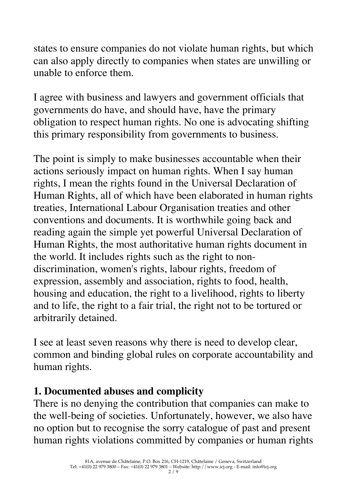states to ensure companies do not violate human rights, but which can also apply directly to companies when states are unwilling or unable to enforce them.

I agree with business and lawyers and government officials that governments do have, and should have, have the primary obligation to respect human rights. No one is advocating shifting this primary responsibility from governments to business.

The point is simply to make businesses accountable when their actions seriously impact on human rights. When I say human rights, I mean the rights found in the Universal Declaration of Human Rights, all of which have been elaborated in human rights treaties, International Labour Organisation treaties and other conventions and documents. It is worthwhile going back and reading again the simple yet powerful Universal Declaration of Human Rights, the most authoritative human rights document in the world. It includes rights such as the right to nondiscrimination, women's rights, labour rights, freedom of expression, assembly and association, rights to food, health, housing and education, the right to a livelihood, rights to liberty and to life, the right to a fair trial, the right not to be tortured or arbitrarily detained.

I see at least seven reasons why there is need to develop clear, common and binding global rules on corporate accountability and human rights.

## **1. Documented abuses and complicity**

There is no denying the contribution that companies can make to the well-being of societies. Unfortunately, however, we also have no option but to recognise the sorry catalogue of past and present human rights violations committed by companies or human rights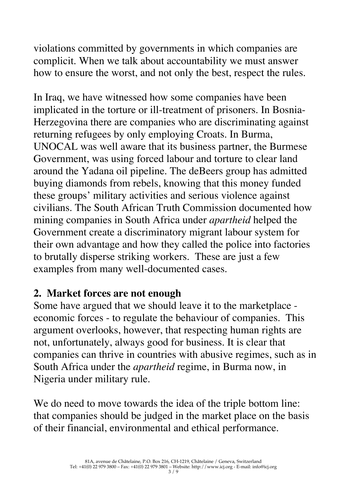violations committed by governments in which companies are complicit. When we talk about accountability we must answer how to ensure the worst, and not only the best, respect the rules.

In Iraq, we have witnessed how some companies have been implicated in the torture or ill-treatment of prisoners. In Bosnia-Herzegovina there are companies who are discriminating against returning refugees by only employing Croats. In Burma, UNOCAL was well aware that its business partner, the Burmese Government, was using forced labour and torture to clear land around the Yadana oil pipeline. The deBeers group has admitted buying diamonds from rebels, knowing that this money funded these groups' military activities and serious violence against civilians. The South African Truth Commission documented how mining companies in South Africa under *apartheid* helped the Government create a discriminatory migrant labour system for their own advantage and how they called the police into factories to brutally disperse striking workers. These are just a few examples from many well-documented cases.

#### **2. Market forces are not enough**

Some have argued that we should leave it to the marketplace economic forces - to regulate the behaviour of companies. This argument overlooks, however, that respecting human rights are not, unfortunately, always good for business. It is clear that companies can thrive in countries with abusive regimes, such as in South Africa under the *apartheid* regime, in Burma now, in Nigeria under military rule.

We do need to move towards the idea of the triple bottom line: that companies should be judged in the market place on the basis of their financial, environmental and ethical performance.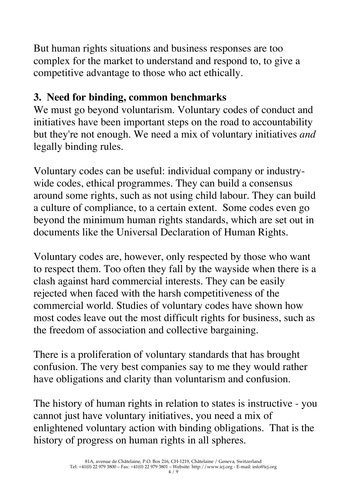But human rights situations and business responses are too complex for the market to understand and respond to, to give a competitive advantage to those who act ethically.

## **3. Need for binding, common benchmarks**

We must go beyond voluntarism. Voluntary codes of conduct and initiatives have been important steps on the road to accountability but they're not enough. We need a mix of voluntary initiatives *and* legally binding rules.

Voluntary codes can be useful: individual company or industrywide codes, ethical programmes. They can build a consensus around some rights, such as not using child labour. They can build a culture of compliance, to a certain extent. Some codes even go beyond the minimum human rights standards, which are set out in documents like the Universal Declaration of Human Rights.

Voluntary codes are, however, only respected by those who want to respect them. Too often they fall by the wayside when there is a clash against hard commercial interests. They can be easily rejected when faced with the harsh competitiveness of the commercial world. Studies of voluntary codes have shown how most codes leave out the most difficult rights for business, such as the freedom of association and collective bargaining.

There is a proliferation of voluntary standards that has brought confusion. The very best companies say to me they would rather have obligations and clarity than voluntarism and confusion.

The history of human rights in relation to states is instructive - you cannot just have voluntary initiatives, you need a mix of enlightened voluntary action with binding obligations. That is the history of progress on human rights in all spheres.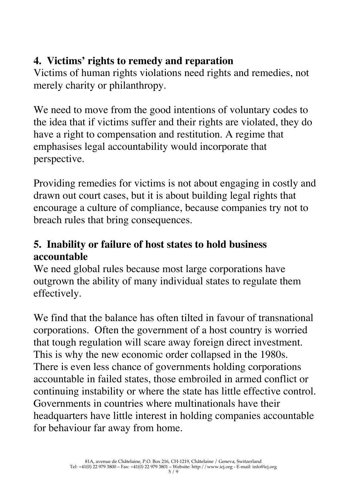## **4. Victims' rights to remedy and reparation**

Victims of human rights violations need rights and remedies, not merely charity or philanthropy.

We need to move from the good intentions of voluntary codes to the idea that if victims suffer and their rights are violated, they do have a right to compensation and restitution. A regime that emphasises legal accountability would incorporate that perspective.

Providing remedies for victims is not about engaging in costly and drawn out court cases, but it is about building legal rights that encourage a culture of compliance, because companies try not to breach rules that bring consequences.

## **5. Inability or failure of host states to hold business accountable**

We need global rules because most large corporations have outgrown the ability of many individual states to regulate them effectively.

We find that the balance has often tilted in favour of transnational corporations. Often the government of a host country is worried that tough regulation will scare away foreign direct investment. This is why the new economic order collapsed in the 1980s. There is even less chance of governments holding corporations accountable in failed states, those embroiled in armed conflict or continuing instability or where the state has little effective control. Governments in countries where multinationals have their headquarters have little interest in holding companies accountable for behaviour far away from home.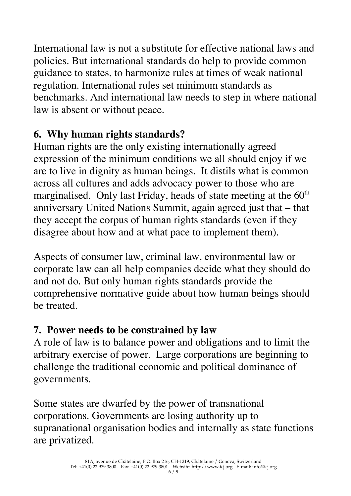International law is not a substitute for effective national laws and policies. But international standards do help to provide common guidance to states, to harmonize rules at times of weak national regulation. International rules set minimum standards as benchmarks. And international law needs to step in where national law is absent or without peace.

## **6. Why human rights standards?**

Human rights are the only existing internationally agreed expression of the minimum conditions we all should enjoy if we are to live in dignity as human beings. It distils what is common across all cultures and adds advocacy power to those who are marginalised. Only last Friday, heads of state meeting at the 60<sup>th</sup> anniversary United Nations Summit, again agreed just that – that they accept the corpus of human rights standards (even if they disagree about how and at what pace to implement them).

Aspects of consumer law, criminal law, environmental law or corporate law can all help companies decide what they should do and not do. But only human rights standards provide the comprehensive normative guide about how human beings should be treated.

# **7. Power needs to be constrained by law**

A role of law is to balance power and obligations and to limit the arbitrary exercise of power. Large corporations are beginning to challenge the traditional economic and political dominance of governments.

Some states are dwarfed by the power of transnational corporations. Governments are losing authority up to supranational organisation bodies and internally as state functions are privatized.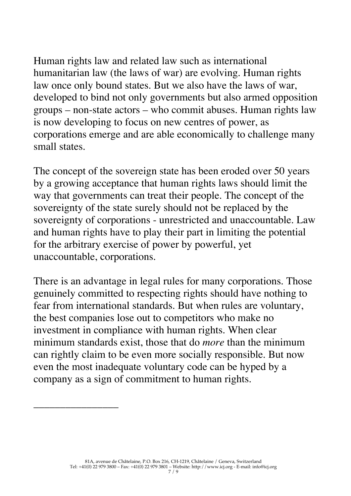Human rights law and related law such as international humanitarian law (the laws of war) are evolving. Human rights law once only bound states. But we also have the laws of war, developed to bind not only governments but also armed opposition groups – non-state actors – who commit abuses. Human rights law is now developing to focus on new centres of power, as corporations emerge and are able economically to challenge many small states.

The concept of the sovereign state has been eroded over 50 years by a growing acceptance that human rights laws should limit the way that governments can treat their people. The concept of the sovereignty of the state surely should not be replaced by the sovereignty of corporations - unrestricted and unaccountable. Law and human rights have to play their part in limiting the potential for the arbitrary exercise of power by powerful, yet unaccountable, corporations.

There is an advantage in legal rules for many corporations. Those genuinely committed to respecting rights should have nothing to fear from international standards. But when rules are voluntary, the best companies lose out to competitors who make no investment in compliance with human rights. When clear minimum standards exist, those that do *more* than the minimum can rightly claim to be even more socially responsible. But now even the most inadequate voluntary code can be hyped by a company as a sign of commitment to human rights.

\_\_\_\_\_\_\_\_\_\_\_\_\_\_\_\_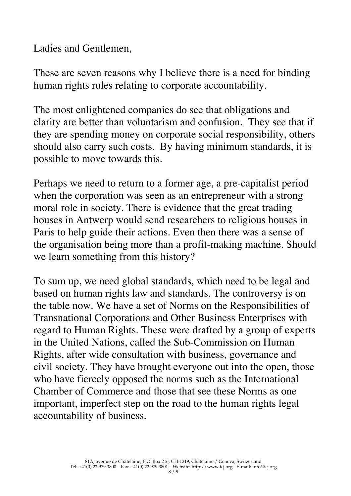Ladies and Gentlemen,

These are seven reasons why I believe there is a need for binding human rights rules relating to corporate accountability.

The most enlightened companies do see that obligations and clarity are better than voluntarism and confusion. They see that if they are spending money on corporate social responsibility, others should also carry such costs. By having minimum standards, it is possible to move towards this.

Perhaps we need to return to a former age, a pre-capitalist period when the corporation was seen as an entrepreneur with a strong moral role in society. There is evidence that the great trading houses in Antwerp would send researchers to religious houses in Paris to help guide their actions. Even then there was a sense of the organisation being more than a profit-making machine. Should we learn something from this history?

To sum up, we need global standards, which need to be legal and based on human rights law and standards. The controversy is on the table now. We have a set of Norms on the Responsibilities of Transnational Corporations and Other Business Enterprises with regard to Human Rights. These were drafted by a group of experts in the United Nations, called the Sub-Commission on Human Rights, after wide consultation with business, governance and civil society. They have brought everyone out into the open, those who have fiercely opposed the norms such as the International Chamber of Commerce and those that see these Norms as one important, imperfect step on the road to the human rights legal accountability of business.